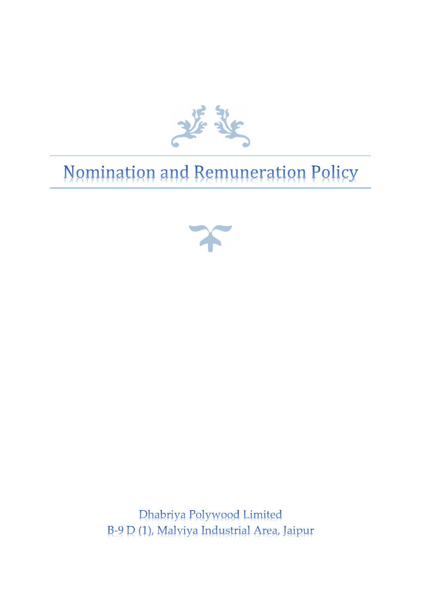

# Nomination and Remuneration Policy



**Dhabriya Polywood Limited** B-9 D (1), Malyiya Industrial Area, Jaipur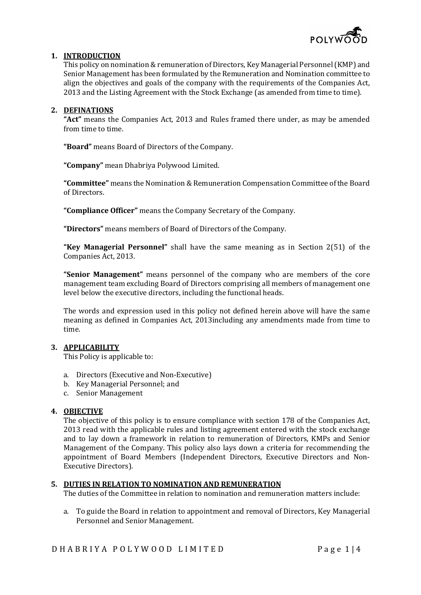

# 1. INTRODUCTION

This policy on nomination & remuneration of Directors, Key Managerial Personnel (KMP) and Senior Management has been formulated by the Remuneration and Nomination committee to align the objectives and goals of the company with the requirements of the Companies Act, 2013 and the Listing Agreement with the Stock Exchange (as amended from time to time).

# 2. DEFINATIONS

"Act" means the Companies Act, 2013 and Rules framed there under, as may be amended from time to time.

"Board" means Board of Directors of the Company.

"Company" mean Dhabriya Polywood Limited.

"Committee" means the Nomination & Remuneration Compensation Committee of the Board of Directors.

"Compliance Officer" means the Company Secretary of the Company.

"Directors" means members of Board of Directors of the Company.

"Key Managerial Personnel" shall have the same meaning as in Section 2(51) of the Companies Act, 2013.

"Senior Management" means personnel of the company who are members of the core management team excluding Board of Directors comprising all members of management one level below the executive directors, including the functional heads.

The words and expression used in this policy not defined herein above will have the same meaning as defined in Companies Act, 2013including any amendments made from time to time.

# 3. APPLICABILITY

This Policy is applicable to:

- a. Directors (Executive and Non-Executive)
- b. Key Managerial Personnel; and
- c. Senior Management

# 4. OBJECTIVE

The objective of this policy is to ensure compliance with section 178 of the Companies Act, 2013 read with the applicable rules and listing agreement entered with the stock exchange and to lay down a framework in relation to remuneration of Directors, KMPs and Senior Management of the Company. This policy also lays down a criteria for recommending the appointment of Board Members (Independent Directors, Executive Directors and Non-Executive Directors).

# 5. DUTIES IN RELATION TO NOMINATION AND REMUNERATION

The duties of the Committee in relation to nomination and remuneration matters include:

a. To guide the Board in relation to appointment and removal of Directors, Key Managerial Personnel and Senior Management.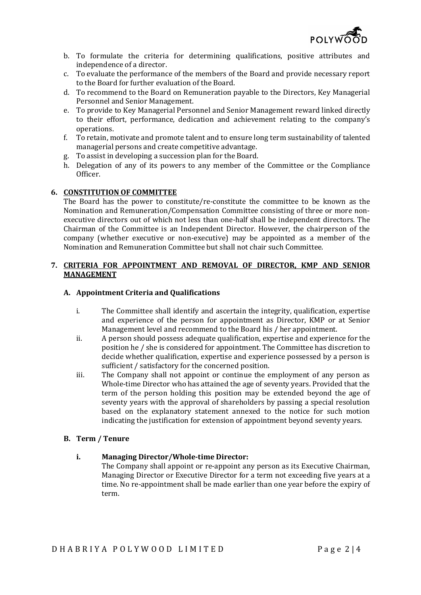

- b. To formulate the criteria for determining qualifications, positive attributes and independence of a director.
- c. To evaluate the performance of the members of the Board and provide necessary report to the Board for further evaluation of the Board.
- d. To recommend to the Board on Remuneration payable to the Directors, Key Managerial Personnel and Senior Management.
- e. To provide to Key Managerial Personnel and Senior Management reward linked directly to their effort, performance, dedication and achievement relating to the company's operations.
- f. To retain, motivate and promote talent and to ensure long term sustainability of talented managerial persons and create competitive advantage.
- g. To assist in developing a succession plan for the Board.
- h. Delegation of any of its powers to any member of the Committee or the Compliance Officer.

# 6. CONSTITUTION OF COMMITTEE

The Board has the power to constitute/re-constitute the committee to be known as the Nomination and Remuneration/Compensation Committee consisting of three or more nonexecutive directors out of which not less than one-half shall be independent directors. The Chairman of the Committee is an Independent Director. However, the chairperson of the company (whether executive or non-executive) may be appointed as a member of the Nomination and Remuneration Committee but shall not chair such Committee.

#### 7. CRITERIA FOR APPOINTMENT AND REMOVAL OF DIRECTOR, KMP AND SENIOR MANAGEMENT

#### A. Appointment Criteria and Qualifications

- i. The Committee shall identify and ascertain the integrity, qualification, expertise and experience of the person for appointment as Director, KMP or at Senior Management level and recommend to the Board his / her appointment.
- ii. A person should possess adequate qualification, expertise and experience for the position he / she is considered for appointment. The Committee has discretion to decide whether qualification, expertise and experience possessed by a person is sufficient / satisfactory for the concerned position.
- iii. The Company shall not appoint or continue the employment of any person as Whole-time Director who has attained the age of seventy years. Provided that the term of the person holding this position may be extended beyond the age of seventy years with the approval of shareholders by passing a special resolution based on the explanatory statement annexed to the notice for such motion indicating the justification for extension of appointment beyond seventy years.

#### B. Term / Tenure

#### i. Managing Director/Whole-time Director:

The Company shall appoint or re-appoint any person as its Executive Chairman, Managing Director or Executive Director for a term not exceeding five years at a time. No re-appointment shall be made earlier than one year before the expiry of term.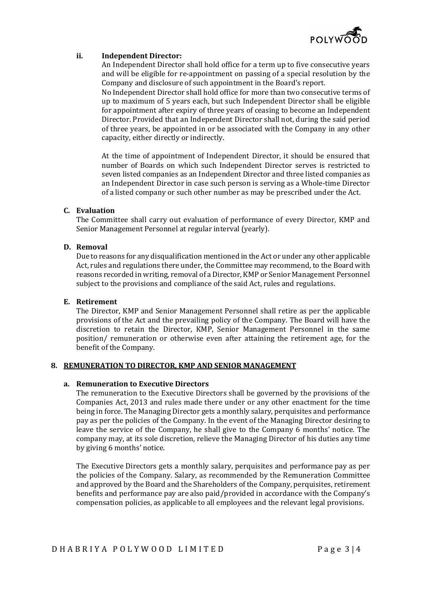

## ii. Independent Director:

An Independent Director shall hold office for a term up to five consecutive years and will be eligible for re-appointment on passing of a special resolution by the Company and disclosure of such appointment in the Board's report.

No Independent Director shall hold office for more than two consecutive terms of up to maximum of 5 years each, but such Independent Director shall be eligible for appointment after expiry of three years of ceasing to become an Independent Director. Provided that an Independent Director shall not, during the said period of three years, be appointed in or be associated with the Company in any other capacity, either directly or indirectly.

At the time of appointment of Independent Director, it should be ensured that number of Boards on which such Independent Director serves is restricted to seven listed companies as an Independent Director and three listed companies as an Independent Director in case such person is serving as a Whole-time Director of a listed company or such other number as may be prescribed under the Act.

## C. Evaluation

The Committee shall carry out evaluation of performance of every Director, KMP and Senior Management Personnel at regular interval (yearly).

## D. Removal

Due to reasons for any disqualification mentioned in the Act or under any other applicable Act, rules and regulations there under, the Committee may recommend, to the Board with reasons recorded in writing, removal of a Director, KMP or Senior Management Personnel subject to the provisions and compliance of the said Act, rules and regulations.

#### E. Retirement

The Director, KMP and Senior Management Personnel shall retire as per the applicable provisions of the Act and the prevailing policy of the Company. The Board will have the discretion to retain the Director, KMP, Senior Management Personnel in the same position/ remuneration or otherwise even after attaining the retirement age, for the benefit of the Company.

## 8. REMUNERATION TO DIRECTOR, KMP AND SENIOR MANAGEMENT

# a. Remuneration to Executive Directors

The remuneration to the Executive Directors shall be governed by the provisions of the Companies Act, 2013 and rules made there under or any other enactment for the time being in force. The Managing Director gets a monthly salary, perquisites and performance pay as per the policies of the Company. In the event of the Managing Director desiring to leave the service of the Company, he shall give to the Company 6 months' notice. The company may, at its sole discretion, relieve the Managing Director of his duties any time by giving 6 months' notice.

The Executive Directors gets a monthly salary, perquisites and performance pay as per the policies of the Company. Salary, as recommended by the Remuneration Committee and approved by the Board and the Shareholders of the Company, perquisites, retirement benefits and performance pay are also paid/provided in accordance with the Company's compensation policies, as applicable to all employees and the relevant legal provisions.